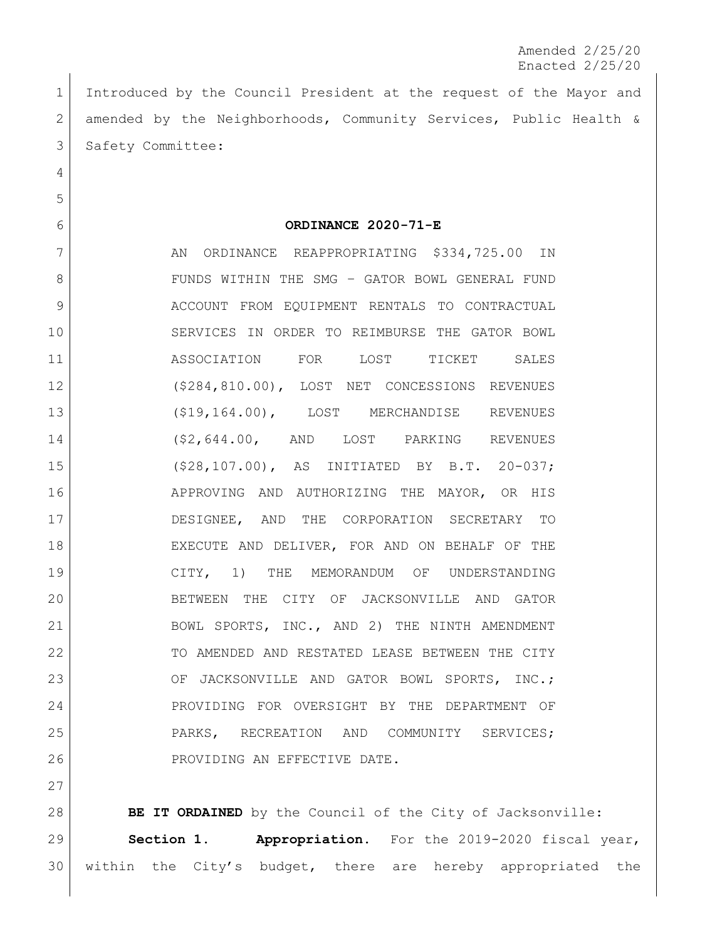Amended 2/25/20 Enacted 2/25/20

 Introduced by the Council President at the request of the Mayor and amended by the Neighborhoods, Community Services, Public Health & 3 Safety Committee:

**ORDINANCE 2020-71-E**

7 AN ORDINANCE REAPPROPRIATING \$334,725.00 IN 8 | FUNDS WITHIN THE SMG - GATOR BOWL GENERAL FUND 9 ACCOUNT FROM EQUIPMENT RENTALS TO CONTRACTUAL SERVICES IN ORDER TO REIMBURSE THE GATOR BOWL ASSOCIATION FOR LOST TICKET SALES (\$284,810.00), LOST NET CONCESSIONS REVENUES (\$19,164.00), LOST MERCHANDISE REVENUES (\$2,644.00, AND LOST PARKING REVENUES (\$28,107.00), AS INITIATED BY B.T. 20-037; 16 APPROVING AND AUTHORIZING THE MAYOR, OR HIS DESIGNEE, AND THE CORPORATION SECRETARY TO 18 EXECUTE AND DELIVER, FOR AND ON BEHALF OF THE CITY, 1) THE MEMORANDUM OF UNDERSTANDING BETWEEN THE CITY OF JACKSONVILLE AND GATOR 21 | BOWL SPORTS, INC., AND 2) THE NINTH AMENDMENT TO AMENDED AND RESTATED LEASE BETWEEN THE CITY 23 OF JACKSONVILLE AND GATOR BOWL SPORTS, INC.; PROVIDING FOR OVERSIGHT BY THE DEPARTMENT OF PARKS, RECREATION AND COMMUNITY SERVICES; 26 PROVIDING AN EFFECTIVE DATE.

**BE IT ORDAINED** by the Council of the City of Jacksonville: **Section 1. Appropriation.** For the 2019-2020 fiscal year, within the City's budget, there are hereby appropriated the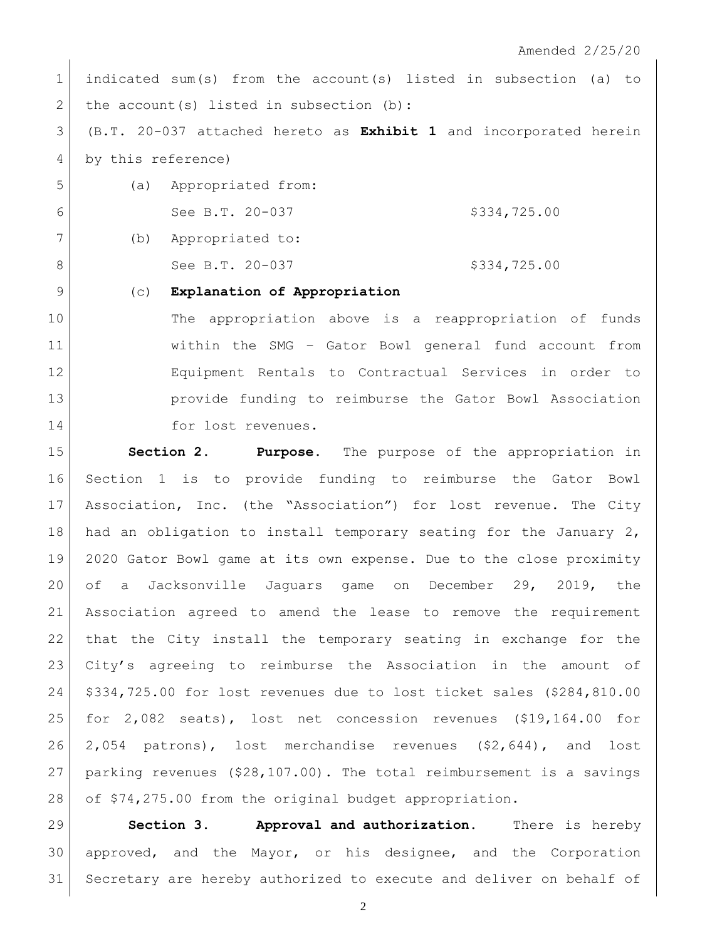Amended 2/25/20

 indicated sum(s) from the account(s) listed in subsection (a) to 2 the account(s) listed in subsection (b):

 (B.T. 20-037 attached hereto as **Exhibit 1** and incorporated herein by this reference)

 (a) Appropriated from: 6 See B.T. 20-037 \$334,725.00 (b) Appropriated to: 8 See B.T. 20-037 \$334,725.00

(c) **Explanation of Appropriation**

 The appropriation above is a reappropriation of funds within the SMG – Gator Bowl general fund account from Equipment Rentals to Contractual Services in order to provide funding to reimburse the Gator Bowl Association 14 for lost revenues.

 **Section 2. Purpose.** The purpose of the appropriation in Section 1 is to provide funding to reimburse the Gator Bowl Association, Inc. (the "Association") for lost revenue. The City 18 had an obligation to install temporary seating for the January 2, 2020 Gator Bowl game at its own expense. Due to the close proximity of a Jacksonville Jaguars game on December 29, 2019, the Association agreed to amend the lease to remove the requirement that the City install the temporary seating in exchange for the City's agreeing to reimburse the Association in the amount of \$334,725.00 for lost revenues due to lost ticket sales (\$284,810.00 for 2,082 seats), lost net concession revenues (\$19,164.00 for 2,054 patrons), lost merchandise revenues (\$2,644), and lost parking revenues (\$28,107.00). The total reimbursement is a savings of \$74,275.00 from the original budget appropriation.

 **Section 3. Approval and authorization.** There is hereby approved, and the Mayor, or his designee, and the Corporation Secretary are hereby authorized to execute and deliver on behalf of